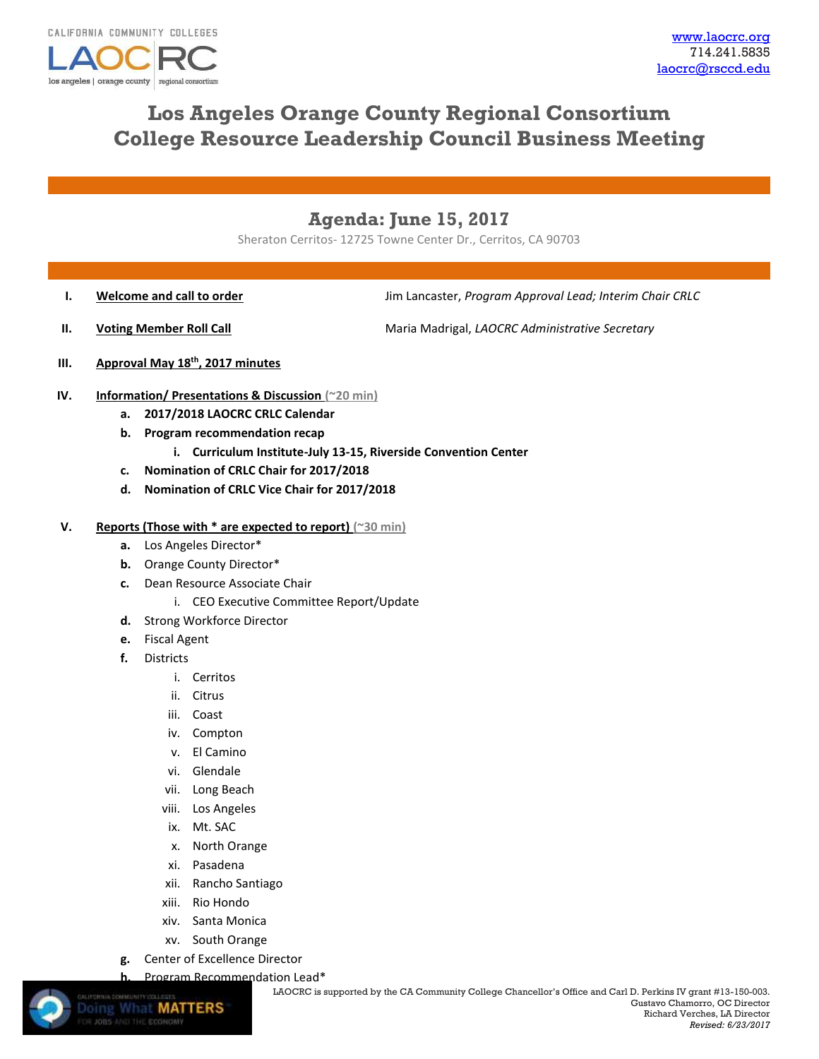

# **Los Angeles Orange County Regional Consortium College Resource Leadership Council Business Meeting**

# **Agenda: June 15, 2017**

Sheraton Cerritos- 12725 Towne Center Dr., Cerritos, CA 90703

**I. Welcome and call to order I. I. Jim Lancaster,** *Program Approval Lead; Interim Chair CRLC* 

**II. Voting Member Roll Call** Maria Madrigal, *LAOCRC Administrative Secretary* 

- **III. Approval May 18th, 2017 minutes**
- **IV. Information/ Presentations & Discussion (~20 min)**
	- **a. 2017/2018 LAOCRC CRLC Calendar**
	- **b. Program recommendation recap**
		- **i. Curriculum Institute-July 13-15, Riverside Convention Center**
	- **c. Nomination of CRLC Chair for 2017/2018**
	- **d. Nomination of CRLC Vice Chair for 2017/2018**

### **V. Reports (Those with \* are expected to report) (~30 min)**

- **a.** Los Angeles Director\*
- **b.** Orange County Director\*
- **c.** Dean Resource Associate Chair
	- i. CEO Executive Committee Report/Update
- **d.** Strong Workforce Director
- **e.** Fiscal Agent
- **f.** Districts
	- i. Cerritos
	- ii. Citrus
	- iii. Coast
	- iv. Compton
	- v. El Camino
	- vi. Glendale
	- vii. Long Beach
	- viii. Los Angeles
	- ix. Mt. SAC
	- x. North Orange
	- xi. Pasadena
	- xii. Rancho Santiago
	- xiii. Rio Hondo
	- xiv. Santa Monica
	- xv. South Orange
- **g.** Center of Excellence Director
- **h.** [Program Recommen](http://www.doingwhatmatters.cccco.edu/)dation Lead\*

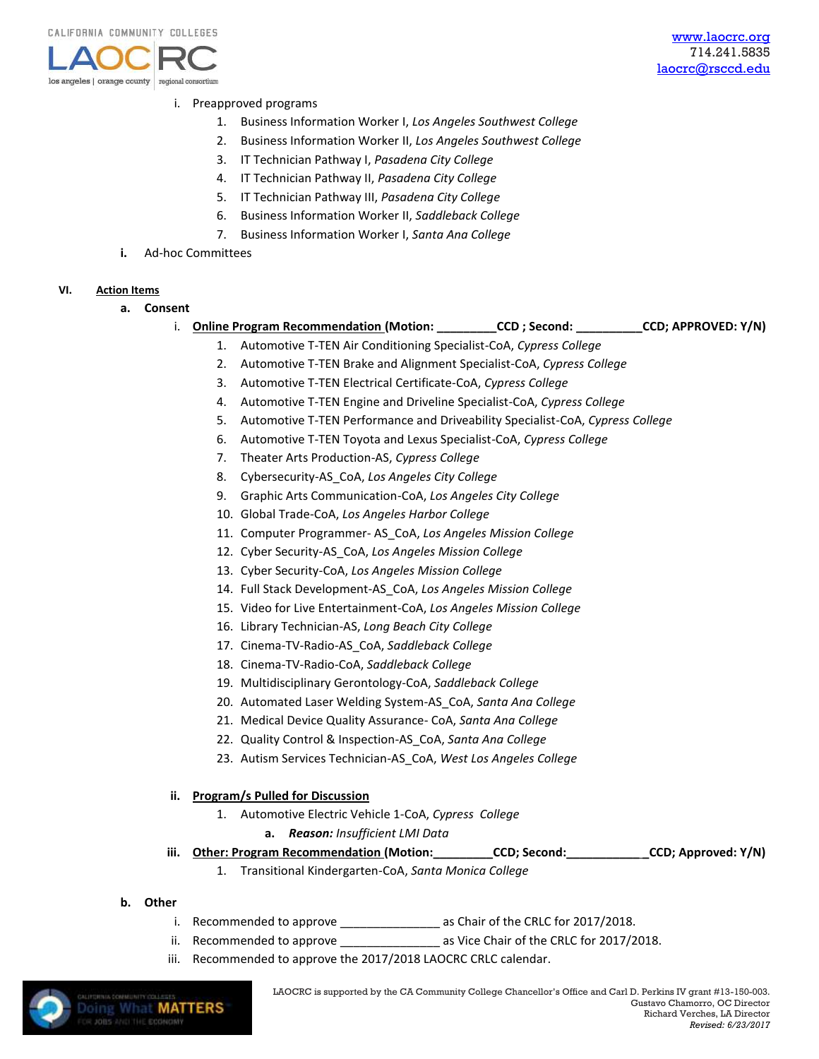

## i. Preapproved programs

- 1. Business Information Worker I, *Los Angeles Southwest College*
- 2. Business Information Worker II, *Los Angeles Southwest College*
- 3. IT Technician Pathway I, *Pasadena City College*
- 4. IT Technician Pathway II, *Pasadena City College*
- 5. IT Technician Pathway III, *Pasadena City College*
- 6. Business Information Worker II, *Saddleback College*
- 7. Business Information Worker I, *Santa Ana College*
- **i.** Ad-hoc Committees

#### **VI. Action Items**

- **a. Consent** 
	- i. **Online Program Recommendation (Motion: \_\_\_\_\_\_\_\_\_CCD ; Second: \_\_\_\_\_\_\_\_\_\_CCD; APPROVED: Y/N)**
		- 1. Automotive T-TEN Air Conditioning Specialist-CoA, *Cypress College* 2. Automotive T-TEN Brake and Alignment Specialist-CoA, *Cypress College*
		- 3. Automotive T-TEN Electrical Certificate-CoA, *Cypress College*
		- 4. Automotive T-TEN Engine and Driveline Specialist-CoA, *Cypress College*
		- 5. Automotive T-TEN Performance and Driveability Specialist-CoA, *Cypress College*
		- 6. Automotive T-TEN Toyota and Lexus Specialist-CoA, *Cypress College*
		- 7. Theater Arts Production-AS, *Cypress College*
		- 8. Cybersecurity-AS\_CoA, *Los Angeles City College*
		- 9. Graphic Arts Communication-CoA, *Los Angeles City College*
		- 10. Global Trade-CoA, *Los Angeles Harbor College*
		- 11. Computer Programmer- AS\_CoA, *Los Angeles Mission College*
		- 12. Cyber Security-AS\_CoA, *Los Angeles Mission College*
		- 13. Cyber Security-CoA, *Los Angeles Mission College*
		- 14. Full Stack Development-AS\_CoA, *Los Angeles Mission College*
		- 15. Video for Live Entertainment-CoA, *Los Angeles Mission College*
		- 16. Library Technician-AS, *Long Beach City College*
		- 17. Cinema-TV-Radio-AS\_CoA, *Saddleback College*
		- 18. Cinema-TV-Radio-CoA, *Saddleback College*
		- 19. Multidisciplinary Gerontology-CoA, *Saddleback College*
		- 20. Automated Laser Welding System-AS\_CoA, *Santa Ana College*
		- 21. Medical Device Quality Assurance- CoA, *Santa Ana College*
		- 22. Quality Control & Inspection-AS\_CoA, *Santa Ana College*
		- 23. Autism Services Technician-AS\_CoA, *West Los Angeles College*

#### **ii. Program/s Pulled for Discussion**

- 1. Automotive Electric Vehicle 1-CoA, *Cypress College*
	- **a.** *Reason: Insufficient LMI Data*
- **iii. Other: Program Recommendation (Motion:\_\_\_\_\_\_\_\_\_CCD; Second:\_\_\_\_\_\_\_\_\_\_\_ \_CCD; Approved: Y/N)**
	- 1. Transitional Kindergarten-CoA, *Santa Monica College*
- **b. Other**
	- i. Recommended to approve \_\_\_\_\_\_\_\_\_\_\_\_\_\_\_\_\_\_\_\_ as Chair of the CRLC for 2017/2018.
	- ii. Recommended to approve \_\_\_\_\_\_\_\_\_\_\_\_\_\_\_ as Vice Chair of the CRLC for 2017/2018.
	- iii. Recommended to approve the 2017/2018 LAOCRC CRLC calendar.